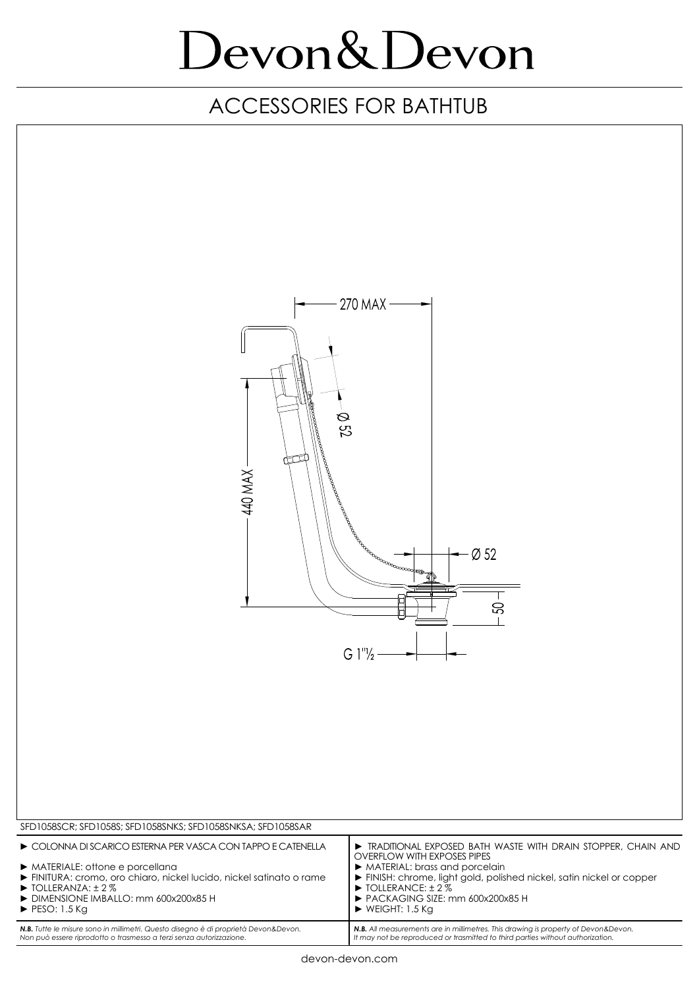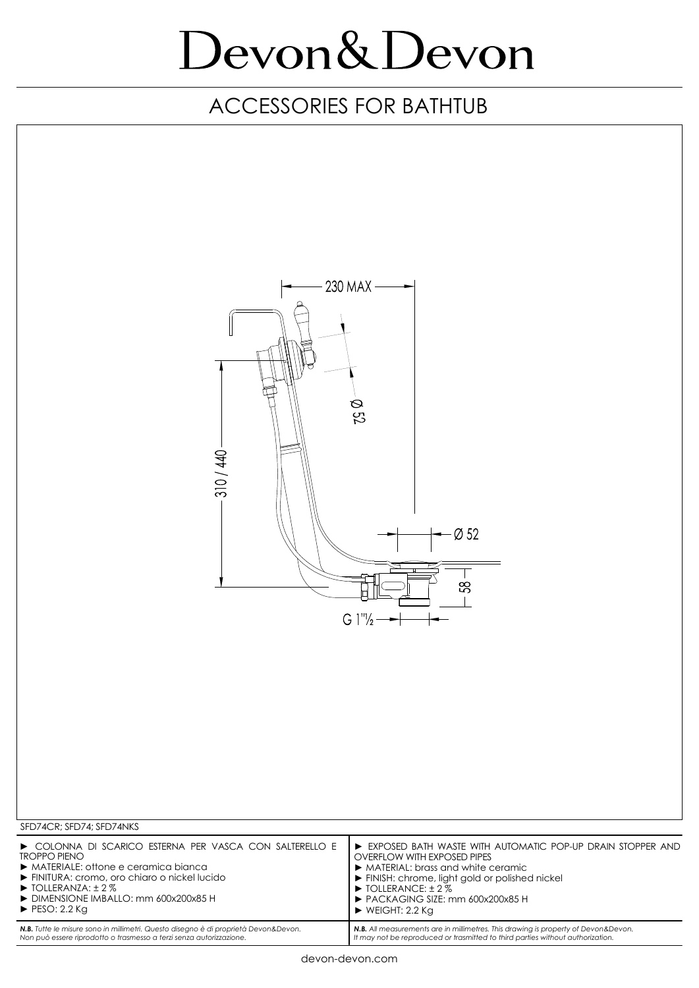| 310 / 440                                                                           | 230 MAX -<br>Q 52<br>$\varnothing$ 52<br>$\mathbb{S}^2$<br>$G 1''/2 \rightarrow$   |
|-------------------------------------------------------------------------------------|------------------------------------------------------------------------------------|
| SFD74CR; SFD74; SFD74NKS                                                            |                                                                                    |
| COLONNA DI SCARICO ESTERNA PER VASCA CON SALTERELLO E                               | EXPOSED BATH WASTE WITH AUTOMATIC POP-UP DRAIN STOPPER AND                         |
| <b>TROPPO PIENO</b>                                                                 | <b>OVERFLOW WITH EXPOSED PIPES</b>                                                 |
| MATERIALE: offone e ceramica bianca                                                 | MATERIAL: brass and white ceramic                                                  |
| FINITURA: cromo, oro chiaro o nickel lucido                                         | FINISH: chrome, light gold or polished nickel                                      |
| $\triangleright$ TOLLERANZA: $\pm$ 2%                                               | $\triangleright$ TOLLERANCE: $\pm$ 2%                                              |
| DIMENSIONE IMBALLO: mm 600x200x85 H                                                 | PACKAGING SIZE: mm 600x200x85 H                                                    |
| $\blacktriangleright$ PESO: 2.2 Kg                                                  | $\triangleright$ WEIGHT: 2.2 Kg                                                    |
| N.B. Tutte le misure sono in millimetri. Questo disegno è di proprietà Devon&Devon. | N.B. All measurements are in millimetres. This drawing is property of Devon&Devon. |
| Non può essere riprodotto o trasmesso a terzi senza autorizzazione.                 | It may not be reproduced or trasmitted to third parties without authorization.     |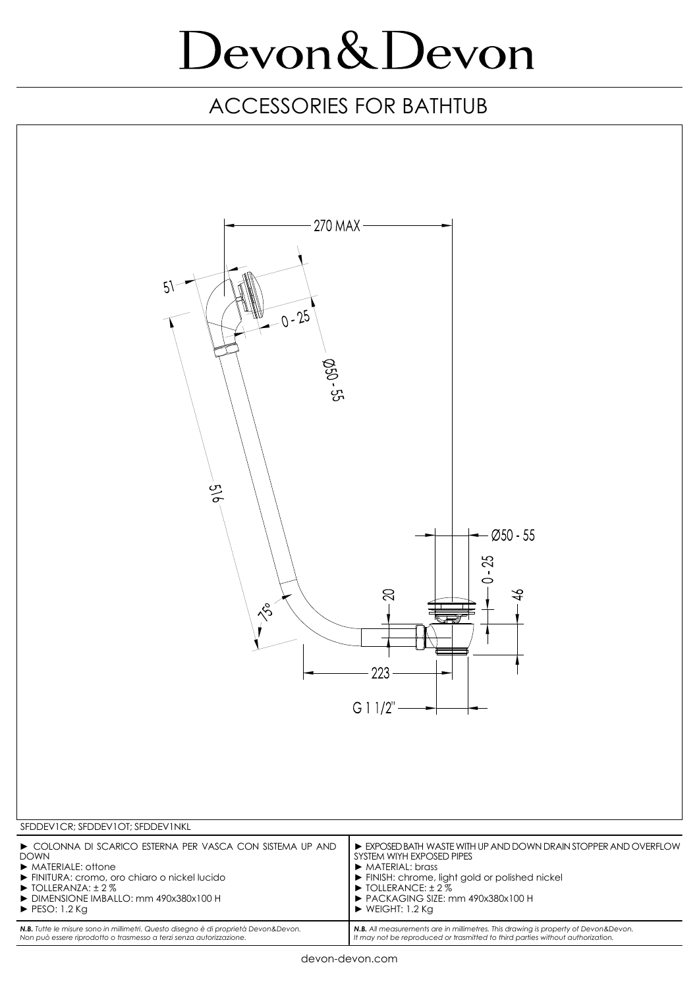| $5\lambda$<br>$-0 - 25$<br>$Q55 - 55$<br>$rac{5}{9}$<br>$Ø50 - 55$<br>$-25$<br>$\circ$<br>$\bowtie$<br>$\frac{1}{2}$<br>$\sqrt{3}$<br>223<br>G 11/2"                                                                                                                                                                                                                                                                                                                                                                                                                                                |
|-----------------------------------------------------------------------------------------------------------------------------------------------------------------------------------------------------------------------------------------------------------------------------------------------------------------------------------------------------------------------------------------------------------------------------------------------------------------------------------------------------------------------------------------------------------------------------------------------------|
| SFDDEVICR; SFDDEVIOT; SFDDEVINKL<br>COLONNA DI SCARICO ESTERNA PER VASCA CON SISTEMA UP AND<br>EXPOSED BATH WASTE WITH UP AND DOWN DRAIN STOPPER AND OVERFLOW                                                                                                                                                                                                                                                                                                                                                                                                                                       |
| SYSTEM WIYH EXPOSED PIPES<br><b>DOWN</b><br>MATERIALE: offone<br>$\triangleright$ MATERIAL: brass<br>FINITURA: cromo, oro chiaro o nickel lucido<br>FINISH: chrome, light gold or polished nickel<br>▶ TOLLERANCE: ± 2 %<br>$\triangleright$ TOLLERANZA: $\pm$ 2%<br>DIMENSIONE IMBALLO: mm 490x380x100 H<br>PACKAGING SIZE: mm 490x380x100 H<br>$\triangleright$ WEIGHT: 1.2 Kg<br>$\blacktriangleright$ PESO: 1.2 Kg<br>N.B. Tutte le misure sono in millimetri. Questo disegno è di proprietà Devon&Devon.<br>N.B. All measurements are in millimetres. This drawing is property of Devon&Devon. |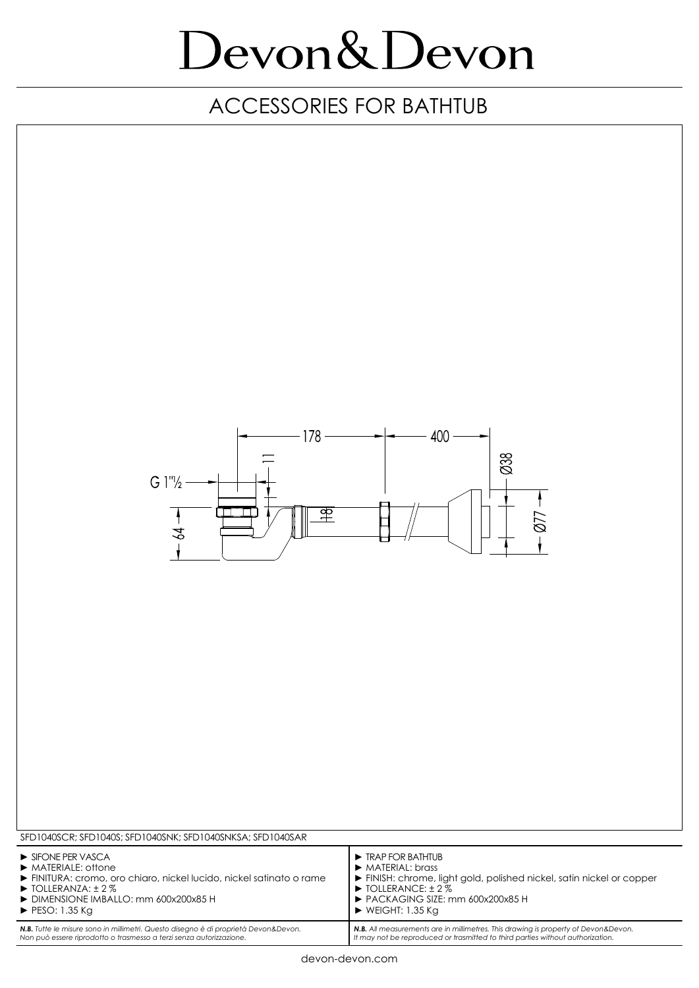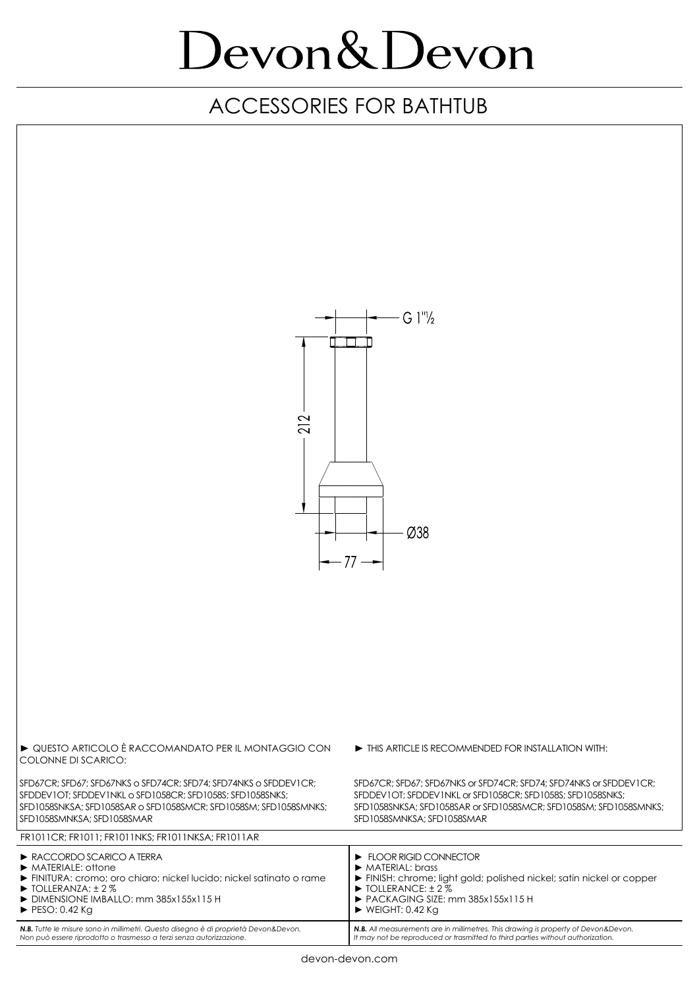